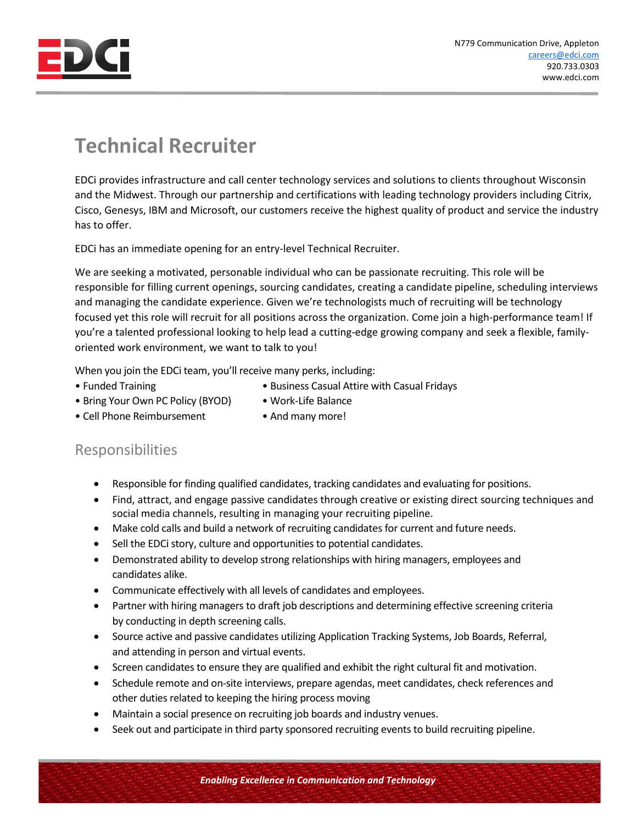

## **Technical Recruiter**

EDCi provides infrastructure and call center technology services and solutions to clients throughout Wisconsin and the Midwest. Through our partnership and certifications with leading technology providers including Citrix, Cisco, Genesys, IBM and Microsoft, our customers receive the highest quality of product and service the industry has to offer.

EDCi has an immediate opening for an entry-level Technical Recruiter.

We are seeking a motivated, personable individual who can be passionate recruiting. This role will be responsible for filling current openings, sourcing candidates, creating a candidate pipeline, scheduling interviews and managing the candidate experience. Given we're technologists much of recruiting will be technology focused yet this role will recruit for all positions across the organization. Come join a high-performance team! If you're a talented professional looking to help lead a cutting-edge growing company and seek a flexible, familyoriented work environment, we want to talk to you!

When you join the EDCi team, you'll receive many perks, including:

- Funded Training Business Casual Attire with Casual Fridays
- Bring Your Own PC Policy (BYOD) Work-Life Balance
- Cell Phone Reimbursement And many more!
	-

## Responsibilities

- Responsible for finding qualified candidates, tracking candidates and evaluating for positions.
- Find, attract, and engage passive candidates through creative or existing direct sourcing techniques and social media channels, resulting in managing your recruiting pipeline.
- Make cold calls and build a network of recruiting candidates for current and future needs.
- Sell the EDCi story, culture and opportunities to potential candidates.
- Demonstrated ability to develop strong relationships with hiring managers, employees and candidates alike.
- Communicate effectively with all levels of candidates and employees.
- Partner with hiring managers to draft job descriptions and determining effective screening criteria by conducting in depth screening calls.
- Source active and passive candidates utilizing Application Tracking Systems, Job Boards, Referral, and attending in person and virtual events.
- Screen candidates to ensure they are qualified and exhibit the right cultural fit and motivation.
- Schedule remote and on-site interviews, prepare agendas, meet candidates, check references and other duties related to keeping the hiring process moving
- Maintain a social presence on recruiting job boards and industry venues.
- Seek out and participate in third party sponsored recruiting events to build recruiting pipeline.